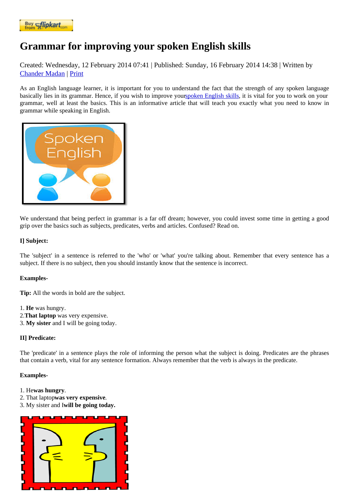## [Grammar fo](https://www.flipkart.com/spoken-english-3rd/p/itmezunpyjy5xcc7?pid=9789339221461&affid=kaminiraw)r improving your spoken English skills

Created: Wednesday, 12 February 2014 07P41blished: Sunday, 16 February 2014 14:08 itten by Chander Madan Print

As an English language learner, it is important for you to understand the fact that the strength of any spoken languag basically lies in its grammar. Hence, if you wish to improve **spoken English skillsit is vital for you to work on your** [grammar, well a](https://english.eagetutor.com/contact)t least the basics. This is an informative article that will teach you exactly what you need to know in grammar while speaking in English.

[We understand that being perfect in gra](http://www.eagetutor.com/course-info-in)mmar is a far off dream; however, you could invest some time in getting a good grip over the basics such as subjects, predicates, verbs and articles. Confused? Read on.

I] Subject:

The 'subject' in a sentence is referred to the 'who' or 'what' you're talking about. Remember that every sentence has a subject. If there is no subject, then you should instantly know that the sentence is incorrect.

Examples-

Tip: All the words in bold are the subject.

1. He was hungry. 2.That laptop was very expensive. 3. My sister and I will be going today.

II] Predicate:

The 'predicate' in a sentence plays the role of informing the person what the subject is doing. Predicates are the phras that contain a verb, vital for any sentence formation. Always remember that the verb is always in the predicate.

Examples-

- 1. Hewas hungry.
- 2. That laptowas very expensive.
- 3. My sister and will be going today.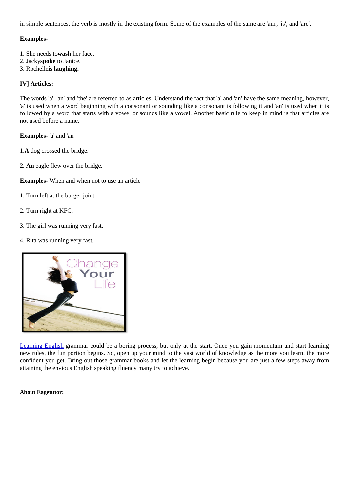Examples-

- 1. She needs waash her face.
- 2. Jack spoketo Janice.
- 3. Rochelles laughing.

IV] Articles:

The words 'a', 'an' and 'the' are referred to as articles. Understand the fact that 'a' and 'an' have the same meaning, hower 'a' is used when a word beginning with a consonant or sounding like a consonant is following it and 'an' is used when it is followed by a word that starts with a vowel or sounds like a vowel. Another basic rule to keep in mind is that articles are not used before a name.

Examples- 'a' and 'an

1.A dog crossed the bridge.

2. An eagle flew over the bridge.

Examples- When and when not to use an article

- 1. Turn left at the burger joint.
- 2. Turn right at KFC.
- 3. The girl was running very fast.
- 4. Rita was running very fast.

[Learning English grammar could be a bo](http://english.eagetutor.com/)ring process, but only at the start. Once you gain momentum and start learning new rules, the fun portion begins. So, open up your mind to the vast world of knowledge as the more you learn, the more confident you get. Bring out those grammar books and let the learning begin because you are just a few steps away fro attaining the envious English speaking fluency many try to achieve.

About Eagetutor: